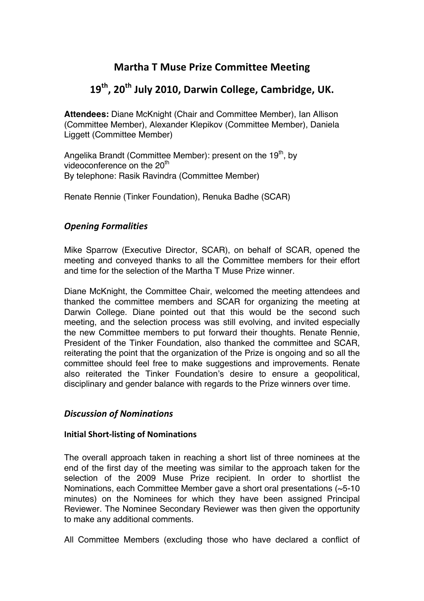## **Martha T Muse Prize Committee Meeting**

# 19<sup>th</sup>, 20<sup>th</sup> July 2010, Darwin College, Cambridge, UK.

**Attendees:** Diane McKnight (Chair and Committee Member), Ian Allison (Committee Member), Alexander Klepikov (Committee Member), Daniela Liggett (Committee Member)

Angelika Brandt (Committee Member): present on the  $19<sup>th</sup>$ , by videoconference on the 20<sup>th</sup> By telephone: Rasik Ravindra (Committee Member)

Renate Rennie (Tinker Foundation), Renuka Badhe (SCAR)

## **Opening Formalities**

Mike Sparrow (Executive Director, SCAR), on behalf of SCAR, opened the meeting and conveyed thanks to all the Committee members for their effort and time for the selection of the Martha T Muse Prize winner.

Diane McKnight, the Committee Chair, welcomed the meeting attendees and thanked the committee members and SCAR for organizing the meeting at Darwin College. Diane pointed out that this would be the second such meeting, and the selection process was still evolving, and invited especially the new Committee members to put forward their thoughts. Renate Rennie, President of the Tinker Foundation, also thanked the committee and SCAR, reiterating the point that the organization of the Prize is ongoing and so all the committee should feel free to make suggestions and improvements. Renate also reiterated the Tinker Foundation's desire to ensure a geopolitical, disciplinary and gender balance with regards to the Prize winners over time.

## *Discussion'of'Nominations*

#### **Initial Short-listing of Nominations**

The overall approach taken in reaching a short list of three nominees at the end of the first day of the meeting was similar to the approach taken for the selection of the 2009 Muse Prize recipient. In order to shortlist the Nominations, each Committee Member gave a short oral presentations (~5-10 minutes) on the Nominees for which they have been assigned Principal Reviewer. The Nominee Secondary Reviewer was then given the opportunity to make any additional comments.

All Committee Members (excluding those who have declared a conflict of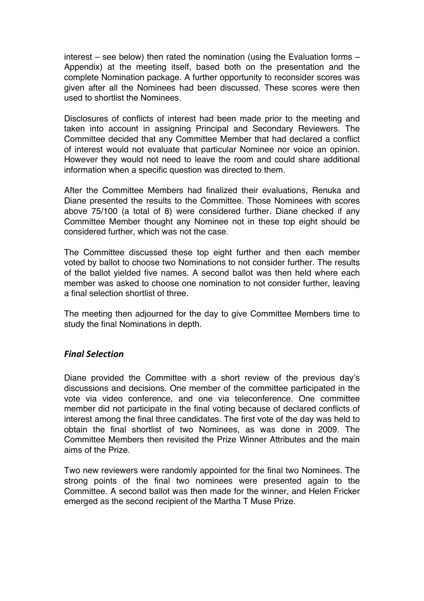interest – see below) then rated the nomination (using the Evaluation forms – Appendix) at the meeting itself, based both on the presentation and the complete Nomination package. A further opportunity to reconsider scores was given after all the Nominees had been discussed. These scores were then used to shortlist the Nominees.

Disclosures of conflicts of interest had been made prior to the meeting and taken into account in assigning Principal and Secondary Reviewers. The Committee decided that any Committee Member that had declared a conflict of interest would not evaluate that particular Nominee nor voice an opinion. However they would not need to leave the room and could share additional information when a specific question was directed to them.

After the Committee Members had finalized their evaluations, Renuka and Diane presented the results to the Committee. Those Nominees with scores above 75/100 (a total of 8) were considered further. Diane checked if any Committee Member thought any Nominee not in these top eight should be considered further, which was not the case.

The Committee discussed these top eight further and then each member voted by ballot to choose two Nominations to not consider further. The results of the ballot yielded five names. A second ballot was then held where each member was asked to choose one nomination to not consider further, leaving a final selection shortlist of three.

The meeting then adjourned for the day to give Committee Members time to study the final Nominations in depth.

#### *Final'Selection*

Diane provided the Committee with a short review of the previous day's discussions and decisions. One member of the committee participated in the vote via video conference, and one via teleconference. One committee member did not participate in the final voting because of declared conflicts of interest among the final three candidates. The first vote of the day was held to obtain the final shortlist of two Nominees, as was done in 2009. The Committee Members then revisited the Prize Winner Attributes and the main aims of the Prize.

Two new reviewers were randomly appointed for the final two Nominees. The strong points of the final two nominees were presented again to the Committee. A second ballot was then made for the winner, and Helen Fricker emerged as the second recipient of the Martha T Muse Prize.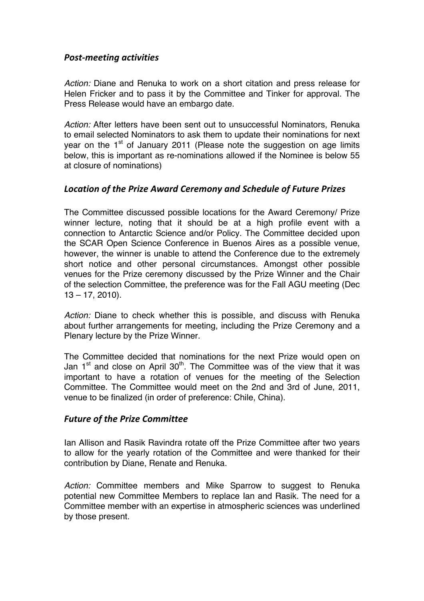## **Post-meeting activities**

*Action:* Diane and Renuka to work on a short citation and press release for Helen Fricker and to pass it by the Committee and Tinker for approval. The Press Release would have an embargo date.

*Action:* After letters have been sent out to unsuccessful Nominators, Renuka to email selected Nominators to ask them to update their nominations for next year on the  $1<sup>st</sup>$  of January 2011 (Please note the suggestion on age limits below, this is important as re-nominations allowed if the Nominee is below 55 at closure of nominations)

## *Location'of'the'Prize'Award'Ceremony'and'Schedule'of'Future'Prizes*

The Committee discussed possible locations for the Award Ceremony/ Prize winner lecture, noting that it should be at a high profile event with a connection to Antarctic Science and/or Policy. The Committee decided upon the SCAR Open Science Conference in Buenos Aires as a possible venue, however, the winner is unable to attend the Conference due to the extremely short notice and other personal circumstances. Amongst other possible venues for the Prize ceremony discussed by the Prize Winner and the Chair of the selection Committee, the preference was for the Fall AGU meeting (Dec 13 – 17, 2010).

*Action:* Diane to check whether this is possible, and discuss with Renuka about further arrangements for meeting, including the Prize Ceremony and a Plenary lecture by the Prize Winner.

The Committee decided that nominations for the next Prize would open on Jan  $1<sup>st</sup>$  and close on April 30<sup>th</sup>. The Committee was of the view that it was important to have a rotation of venues for the meeting of the Selection Committee. The Committee would meet on the 2nd and 3rd of June, 2011, venue to be finalized (in order of preference: Chile, China).

#### **Future of the Prize Committee**

Ian Allison and Rasik Ravindra rotate off the Prize Committee after two years to allow for the yearly rotation of the Committee and were thanked for their contribution by Diane, Renate and Renuka.

*Action:* Committee members and Mike Sparrow to suggest to Renuka potential new Committee Members to replace Ian and Rasik. The need for a Committee member with an expertise in atmospheric sciences was underlined by those present.